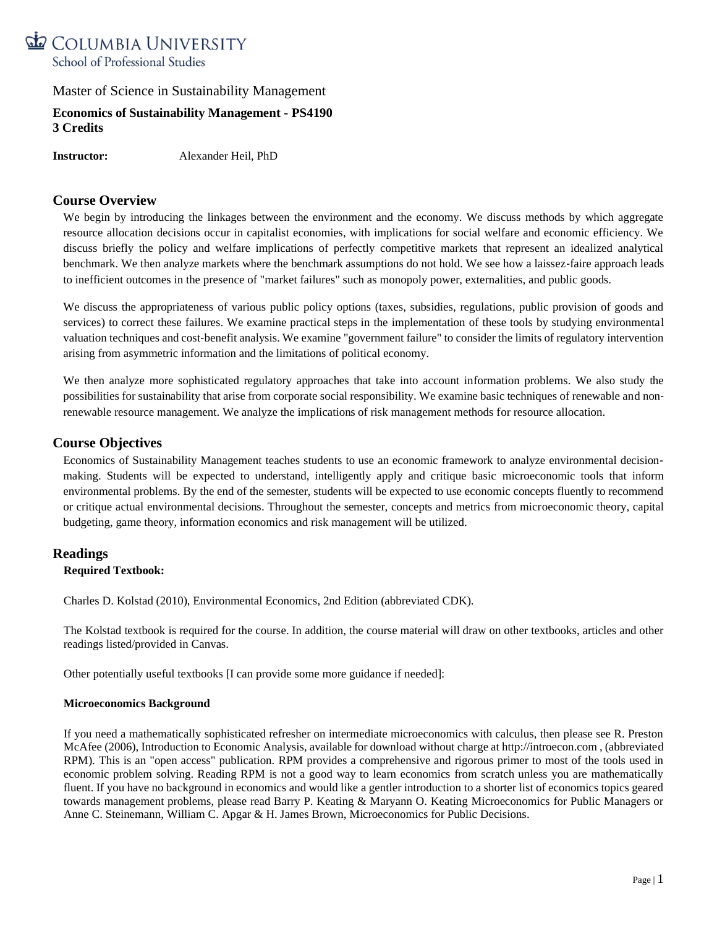

# **Economics of Sustainability Management - PS4190 3 Credits**

**Instructor:** Alexander Heil, PhD

## **Course Overview**

We begin by introducing the linkages between the environment and the economy. We discuss methods by which aggregate resource allocation decisions occur in capitalist economies, with implications for social welfare and economic efficiency. We discuss briefly the policy and welfare implications of perfectly competitive markets that represent an idealized analytical benchmark. We then analyze markets where the benchmark assumptions do not hold. We see how a laissez-faire approach leads to inefficient outcomes in the presence of "market failures" such as monopoly power, externalities, and public goods.

We discuss the appropriateness of various public policy options (taxes, subsidies, regulations, public provision of goods and services) to correct these failures. We examine practical steps in the implementation of these tools by studying environmental valuation techniques and cost‐benefit analysis. We examine "government failure" to consider the limits of regulatory intervention arising from asymmetric information and the limitations of political economy.

We then analyze more sophisticated regulatory approaches that take into account information problems. We also study the possibilities for sustainability that arise from corporate social responsibility. We examine basic techniques of renewable and nonrenewable resource management. We analyze the implications of risk management methods for resource allocation.

### **Course Objectives**

Economics of Sustainability Management teaches students to use an economic framework to analyze environmental decision‐ making. Students will be expected to understand, intelligently apply and critique basic microeconomic tools that inform environmental problems. By the end of the semester, students will be expected to use economic concepts fluently to recommend or critique actual environmental decisions. Throughout the semester, concepts and metrics from microeconomic theory, capital budgeting, game theory, information economics and risk management will be utilized.

### **Readings**

#### **Required Textbook:**

Charles D. Kolstad (2010), Environmental Economics, 2nd Edition (abbreviated CDK).

The Kolstad textbook is required for the course. In addition, the course material will draw on other textbooks, articles and other readings listed/provided in Canvas.

Other potentially useful textbooks [I can provide some more guidance if needed]:

#### **Microeconomics Background**

If you need a mathematically sophisticated refresher on intermediate microeconomics with calculus, then please see R. Preston McAfee (2006), Introduction to Economic Analysis, available for download without charge at http://introecon.com , (abbreviated RPM). This is an "open access" publication. RPM provides a comprehensive and rigorous primer to most of the tools used in economic problem solving. Reading RPM is not a good way to learn economics from scratch unless you are mathematically fluent. If you have no background in economics and would like a gentler introduction to a shorter list of economics topics geared towards management problems, please read Barry P. Keating & Maryann O. Keating Microeconomics for Public Managers or Anne C. Steinemann, William C. Apgar & H. James Brown, Microeconomics for Public Decisions.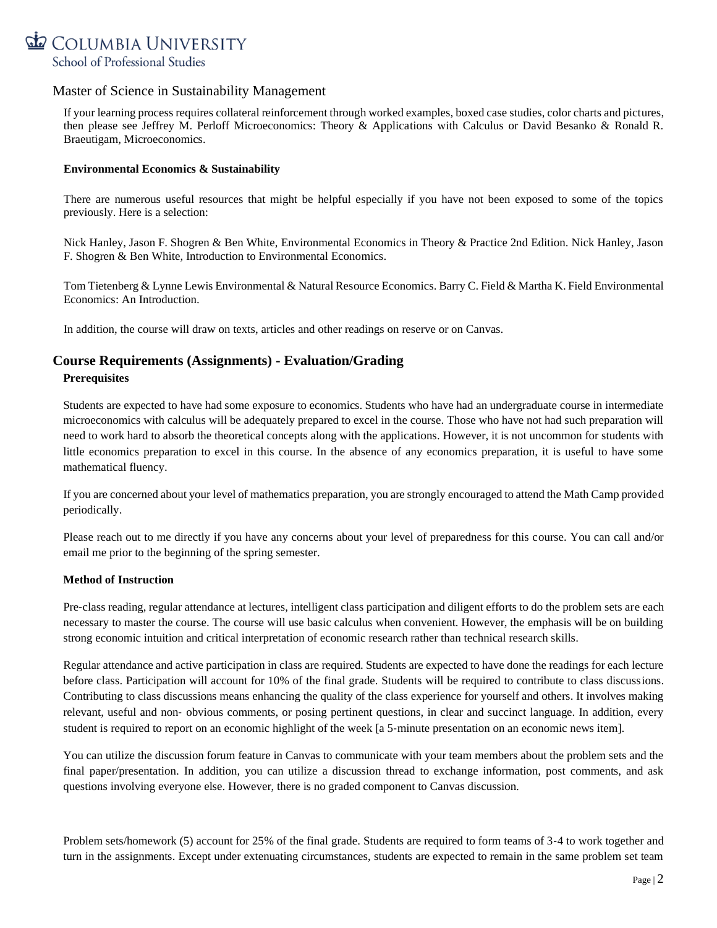

If your learning process requires collateral reinforcement through worked examples, boxed case studies, color charts and pictures, then please see Jeffrey M. Perloff Microeconomics: Theory & Applications with Calculus or David Besanko & Ronald R. Braeutigam, Microeconomics.

### **Environmental Economics & Sustainability**

There are numerous useful resources that might be helpful especially if you have not been exposed to some of the topics previously. Here is a selection:

Nick Hanley, Jason F. Shogren & Ben White, Environmental Economics in Theory & Practice 2nd Edition. Nick Hanley, Jason F. Shogren & Ben White, Introduction to Environmental Economics.

Tom Tietenberg & Lynne Lewis Environmental & Natural Resource Economics. Barry C. Field & Martha K. Field Environmental Economics: An Introduction.

In addition, the course will draw on texts, articles and other readings on reserve or on Canvas.

# **Course Requirements (Assignments) - Evaluation/Grading Prerequisites**

Students are expected to have had some exposure to economics. Students who have had an undergraduate course in intermediate microeconomics with calculus will be adequately prepared to excel in the course. Those who have not had such preparation will need to work hard to absorb the theoretical concepts along with the applications. However, it is not uncommon for students with little economics preparation to excel in this course. In the absence of any economics preparation, it is useful to have some mathematical fluency.

If you are concerned about your level of mathematics preparation, you are strongly encouraged to attend the Math Camp provided periodically.

Please reach out to me directly if you have any concerns about your level of preparedness for this course. You can call and/or email me prior to the beginning of the spring semester.

#### **Method of Instruction**

Pre-class reading, regular attendance at lectures, intelligent class participation and diligent efforts to do the problem sets are each necessary to master the course. The course will use basic calculus when convenient. However, the emphasis will be on building strong economic intuition and critical interpretation of economic research rather than technical research skills.

Regular attendance and active participation in class are required. Students are expected to have done the readings for each lecture before class. Participation will account for 10% of the final grade. Students will be required to contribute to class discussions. Contributing to class discussions means enhancing the quality of the class experience for yourself and others. It involves making relevant, useful and non‐ obvious comments, or posing pertinent questions, in clear and succinct language. In addition, every student is required to report on an economic highlight of the week [a 5-minute presentation on an economic news item].

You can utilize the discussion forum feature in Canvas to communicate with your team members about the problem sets and the final paper/presentation. In addition, you can utilize a discussion thread to exchange information, post comments, and ask questions involving everyone else. However, there is no graded component to Canvas discussion.

Problem sets/homework (5) account for 25% of the final grade. Students are required to form teams of 3‐4 to work together and turn in the assignments. Except under extenuating circumstances, students are expected to remain in the same problem set team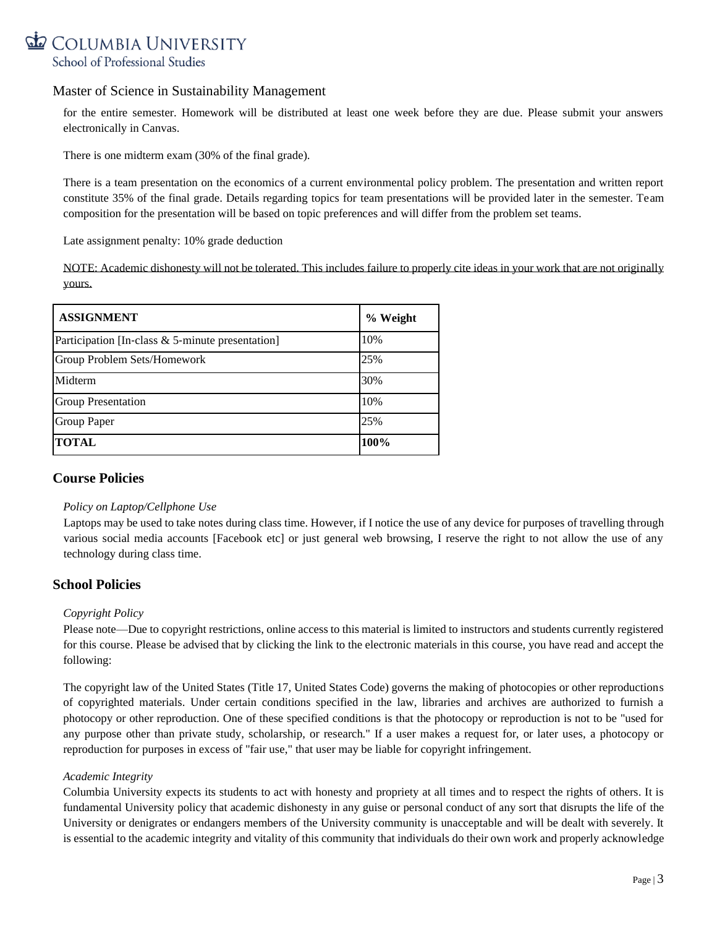

for the entire semester. Homework will be distributed at least one week before they are due. Please submit your answers electronically in Canvas.

There is one midterm exam (30% of the final grade).

There is a team presentation on the economics of a current environmental policy problem. The presentation and written report constitute 35% of the final grade. Details regarding topics for team presentations will be provided later in the semester. Team composition for the presentation will be based on topic preferences and will differ from the problem set teams.

Late assignment penalty: 10% grade deduction

NOTE: Academic dishonesty will not be tolerated. This includes failure to properly cite ideas in your work that are not originally yours.

| <b>ASSIGNMENT</b>                                | % Weight |
|--------------------------------------------------|----------|
| Participation [In-class & 5-minute presentation] | 10%      |
| Group Problem Sets/Homework                      | 25%      |
| Midterm                                          | 30%      |
| <b>Group Presentation</b>                        | 10%      |
| <b>Group Paper</b>                               | 25%      |
| <b>TOTAL</b>                                     | 100%     |

# **Course Policies**

### *Policy on Laptop/Cellphone Use*

Laptops may be used to take notes during class time. However, if I notice the use of any device for purposes of travelling through various social media accounts [Facebook etc] or just general web browsing, I reserve the right to not allow the use of any technology during class time.

# **School Policies**

### *Copyright Policy*

Please note—Due to copyright restrictions, online access to this material is limited to instructors and students currently registered for this course. Please be advised that by clicking the link to the electronic materials in this course, you have read and accept the following:

The copyright law of the United States (Title 17, United States Code) governs the making of photocopies or other reproductions of copyrighted materials. Under certain conditions specified in the law, libraries and archives are authorized to furnish a photocopy or other reproduction. One of these specified conditions is that the photocopy or reproduction is not to be "used for any purpose other than private study, scholarship, or research." If a user makes a request for, or later uses, a photocopy or reproduction for purposes in excess of "fair use," that user may be liable for copyright infringement.

### *Academic Integrity*

Columbia University expects its students to act with honesty and propriety at all times and to respect the rights of others. It is fundamental University policy that academic dishonesty in any guise or personal conduct of any sort that disrupts the life of the University or denigrates or endangers members of the University community is unacceptable and will be dealt with severely. It is essential to the academic integrity and vitality of this community that individuals do their own work and properly acknowledge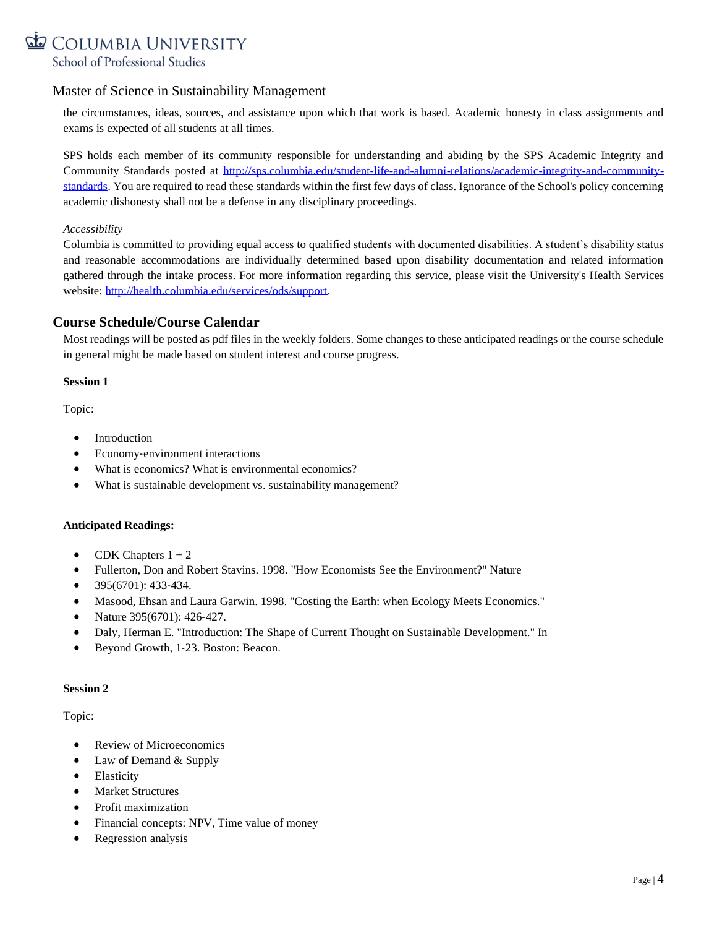# COLUMBIA UNIVERSITY School of Professional Studies

# Master of Science in Sustainability Management

the circumstances, ideas, sources, and assistance upon which that work is based. Academic honesty in class assignments and exams is expected of all students at all times.

SPS holds each member of its community responsible for understanding and abiding by the SPS Academic Integrity and Community Standards posted at [http://sps.columbia.edu/student-life-and-alumni-relations/academic-integrity-and-community](http://sps.columbia.edu/student-life-and-alumni-relations/academic-integrity-and-community-standards)[standards.](http://sps.columbia.edu/student-life-and-alumni-relations/academic-integrity-and-community-standards) You are required to read these standards within the first few days of class. Ignorance of the School's policy concerning academic dishonesty shall not be a defense in any disciplinary proceedings.

## *Accessibility*

Columbia is committed to providing equal access to qualified students with documented disabilities. A student's disability status and reasonable accommodations are individually determined based upon disability documentation and related information gathered through the intake process. For more information regarding this service, please visit the University's Health Services website: [http://health.columbia.edu/services/ods/support.](http://health.columbia.edu/services/ods/support)

# **Course Schedule/Course Calendar**

Most readings will be posted as pdf files in the weekly folders. Some changes to these anticipated readings or the course schedule in general might be made based on student interest and course progress.

### **Session 1**

Topic:

- Introduction
- Economy-environment interactions
- What is economics? What is environmental economics?
- What is sustainable development vs. sustainability management?

### **Anticipated Readings:**

- CDK Chapters  $1 + 2$
- Fullerton, Don and Robert Stavins. 1998. "How Economists See the Environment?" Nature
- 395(6701): 433-434.
- Masood, Ehsan and Laura Garwin. 1998. "Costing the Earth: when Ecology Meets Economics."
- Nature 395(6701): 426-427.
- Daly, Herman E. "Introduction: The Shape of Current Thought on Sustainable Development." In
- Beyond Growth, 1‐23. Boston: Beacon.

### **Session 2**

### Topic:

- Review of Microeconomics
- Law of Demand & Supply
- Elasticity
- Market Structures
- Profit maximization
- Financial concepts: NPV, Time value of money
- Regression analysis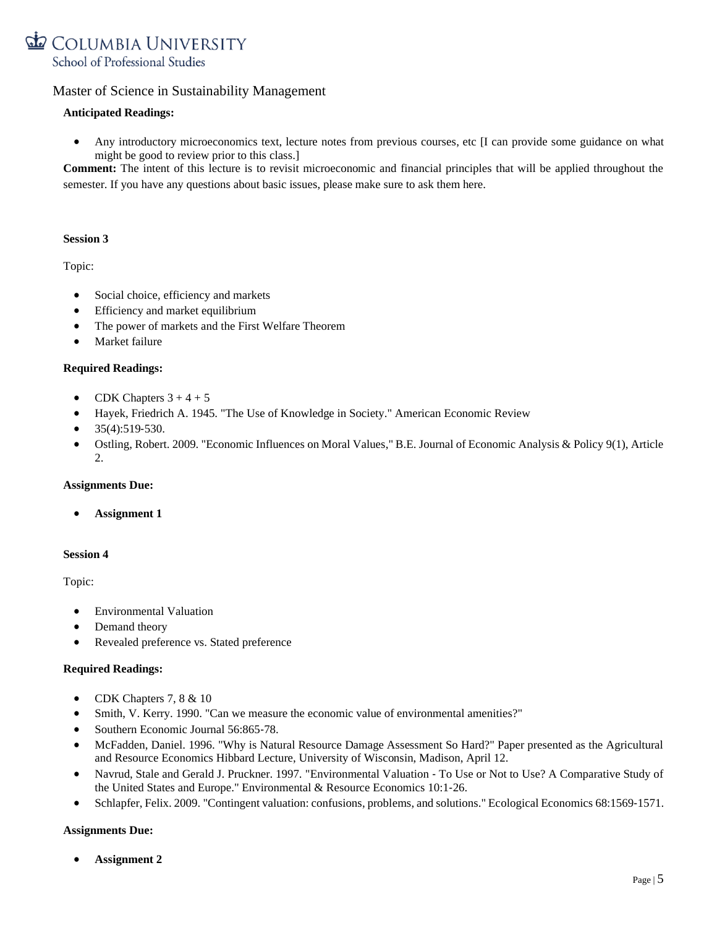

## **Anticipated Readings:**

Any introductory microeconomics text, lecture notes from previous courses, etc [I can provide some guidance on what might be good to review prior to this class.]

**Comment:** The intent of this lecture is to revisit microeconomic and financial principles that will be applied throughout the semester. If you have any questions about basic issues, please make sure to ask them here.

### **Session 3**

Topic:

- Social choice, efficiency and markets
- Efficiency and market equilibrium
- The power of markets and the First Welfare Theorem
- Market failure

### **Required Readings:**

- CDK Chapters  $3 + 4 + 5$
- Hayek, Friedrich A. 1945. "The Use of Knowledge in Society." American Economic Review
- $35(4):519-530.$
- Ostling, Robert. 2009. "Economic Influences on Moral Values," B.E. Journal of Economic Analysis & Policy 9(1), Article  $2<sub>1</sub>$

### **Assignments Due:**

• **Assignment 1**

### **Session 4**

Topic:

- Environmental Valuation
- Demand theory
- Revealed preference vs. Stated preference

#### **Required Readings:**

- CDK Chapters 7, 8 & 10
- Smith, V. Kerry. 1990. "Can we measure the economic value of environmental amenities?"
- Southern Economic Journal 56:865-78.
- McFadden, Daniel. 1996. "Why is Natural Resource Damage Assessment So Hard?" Paper presented as the Agricultural and Resource Economics Hibbard Lecture, University of Wisconsin, Madison, April 12.
- Navrud, Stale and Gerald J. Pruckner. 1997. "Environmental Valuation ‐ To Use or Not to Use? A Comparative Study of the United States and Europe." Environmental & Resource Economics 10:1‐26.
- Schlapfer, Felix. 2009. "Contingent valuation: confusions, problems, and solutions." Ecological Economics 68:1569‐1571.

### **Assignments Due:**

• **Assignment 2**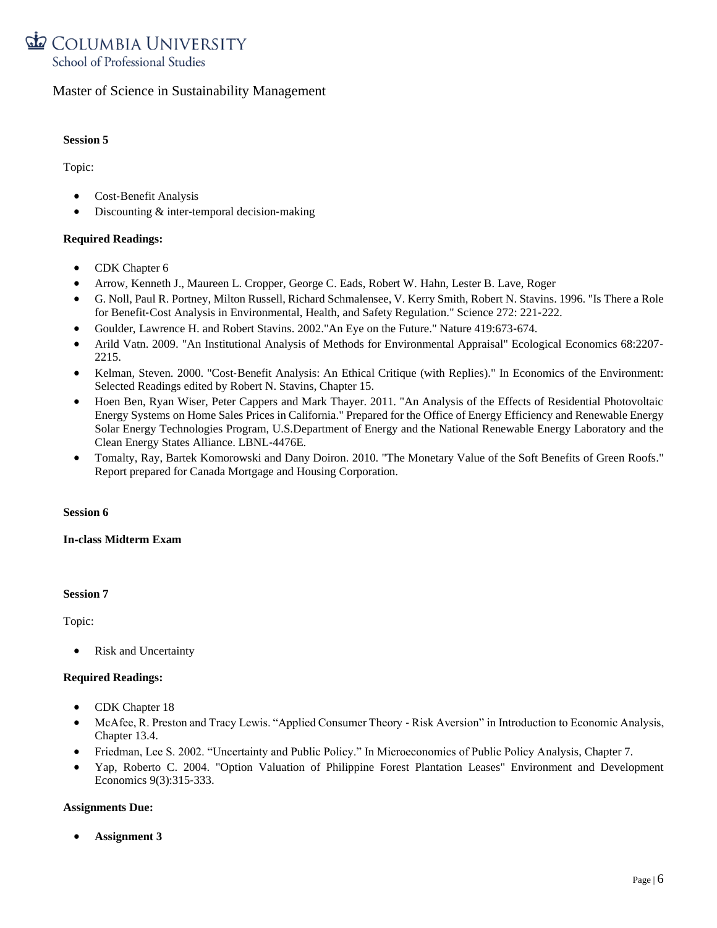

#### **Session 5**

Topic:

- Cost‐Benefit Analysis
- Discounting & inter-temporal decision-making

## **Required Readings:**

- CDK Chapter 6
- Arrow, Kenneth J., Maureen L. Cropper, George C. Eads, Robert W. Hahn, Lester B. Lave, Roger
- G. Noll, Paul R. Portney, Milton Russell, Richard Schmalensee, V. Kerry Smith, Robert N. Stavins. 1996. "Is There a Role for Benefit‐Cost Analysis in Environmental, Health, and Safety Regulation." Science 272: 221‐222.
- Goulder, Lawrence H. and Robert Stavins. 2002."An Eye on the Future." Nature 419:673‐674.
- Arild Vatn. 2009. "An Institutional Analysis of Methods for Environmental Appraisal" Ecological Economics 68:2207-2215.
- Kelman, Steven. 2000. "Cost-Benefit Analysis: An Ethical Critique (with Replies)." In Economics of the Environment: Selected Readings edited by Robert N. Stavins, Chapter 15.
- Hoen Ben, Ryan Wiser, Peter Cappers and Mark Thayer. 2011. "An Analysis of the Effects of Residential Photovoltaic Energy Systems on Home Sales Prices in California." Prepared for the Office of Energy Efficiency and Renewable Energy Solar Energy Technologies Program, U.S.Department of Energy and the National Renewable Energy Laboratory and the Clean Energy States Alliance. LBNL‐4476E.
- Tomalty, Ray, Bartek Komorowski and Dany Doiron. 2010. "The Monetary Value of the Soft Benefits of Green Roofs." Report prepared for Canada Mortgage and Housing Corporation.

### **Session 6**

### **In**‐**class Midterm Exam**

### **Session 7**

Topic:

• Risk and Uncertainty

### **Required Readings:**

- CDK Chapter 18
- McAfee, R. Preston and Tracy Lewis. "Applied Consumer Theory Risk Aversion" in Introduction to Economic Analysis, Chapter 13.4.
- Friedman, Lee S. 2002. "Uncertainty and Public Policy." In Microeconomics of Public Policy Analysis, Chapter 7.
- Yap, Roberto C. 2004. "Option Valuation of Philippine Forest Plantation Leases" Environment and Development Economics 9(3):315‐333.

### **Assignments Due:**

• **Assignment 3**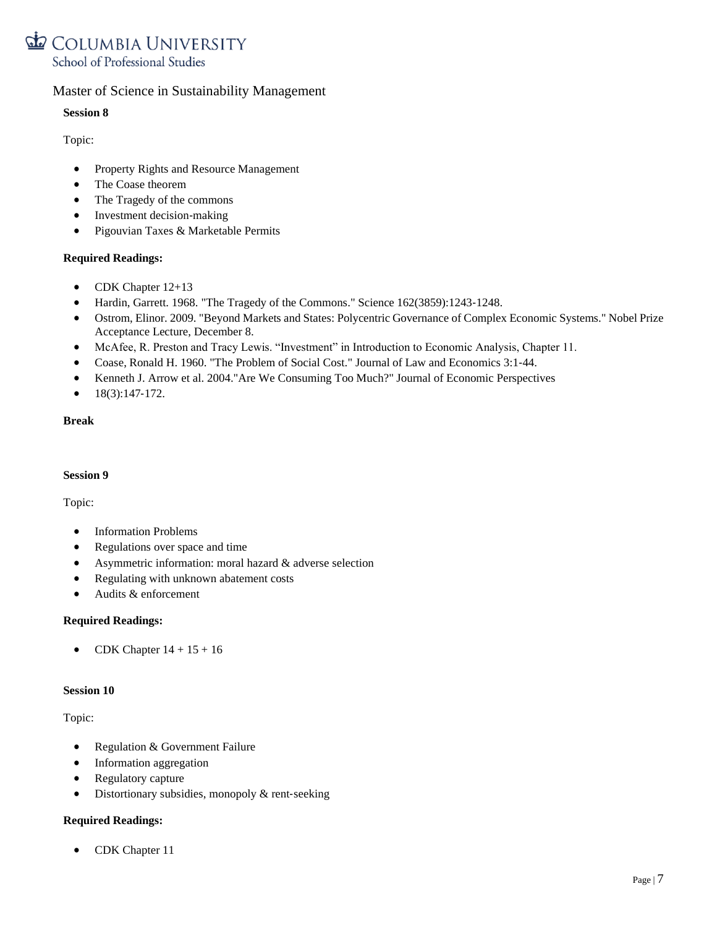

# **Session 8**

Topic:

- Property Rights and Resource Management
- The Coase theorem
- The Tragedy of the commons
- Investment decision-making
- Pigouvian Taxes & Marketable Permits

### **Required Readings:**

- CDK Chapter 12+13
- Hardin, Garrett. 1968. "The Tragedy of the Commons." Science 162(3859):1243-1248.
- Ostrom, Elinor. 2009. "Beyond Markets and States: Polycentric Governance of Complex Economic Systems." Nobel Prize Acceptance Lecture, December 8.
- McAfee, R. Preston and Tracy Lewis. "Investment" in Introduction to Economic Analysis, Chapter 11.
- Coase, Ronald H. 1960. "The Problem of Social Cost." Journal of Law and Economics 3:1-44.
- Kenneth J. Arrow et al. 2004."Are We Consuming Too Much?" Journal of Economic Perspectives
- $18(3):147-172.$

### **Break**

### **Session 9**

Topic:

- Information Problems
- Regulations over space and time
- Asymmetric information: moral hazard & adverse selection
- Regulating with unknown abatement costs
- Audits & enforcement

### **Required Readings:**

• CDK Chapter  $14 + 15 + 16$ 

#### **Session 10**

### Topic:

- Regulation & Government Failure
- Information aggregation
- Regulatory capture
- Distortionary subsidies, monopoly & rent-seeking

### **Required Readings:**

• CDK Chapter 11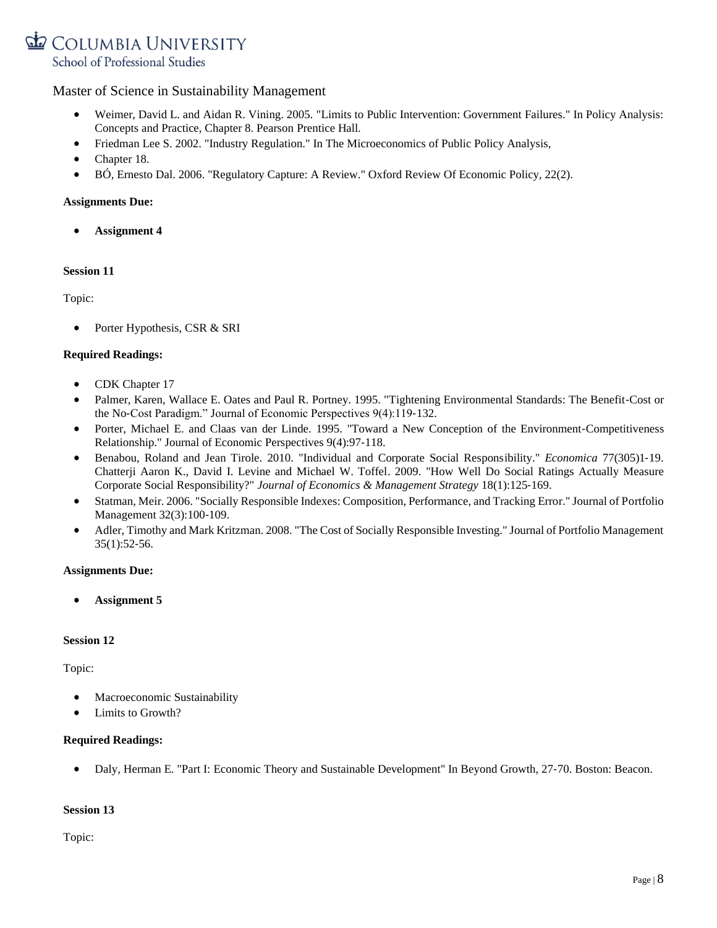COLUMBIA UNIVERSITY School of Professional Studies

# Master of Science in Sustainability Management

- Weimer, David L. and Aidan R. Vining. 2005. "Limits to Public Intervention: Government Failures." In Policy Analysis: Concepts and Practice, Chapter 8. Pearson Prentice Hall.
- Friedman Lee S. 2002. "Industry Regulation." In The Microeconomics of Public Policy Analysis,
- Chapter 18.
- BÓ, Ernesto Dal. 2006. "Regulatory Capture: A Review." Oxford Review Of Economic Policy, 22(2).

### **Assignments Due:**

• **Assignment 4**

### **Session 11**

Topic:

Porter Hypothesis, CSR & SRI

### **Required Readings:**

- CDK Chapter 17
- Palmer, Karen, Wallace E. Oates and Paul R. Portney. 1995. "Tightening Environmental Standards: The Benefit‐Cost or the No‐Cost Paradigm." Journal of Economic Perspectives 9(4):119‐132.
- Porter, Michael E. and Claas van der Linde. 1995. "Toward a New Conception of the Environment-Competitiveness Relationship." Journal of Economic Perspectives 9(4):97‐118.
- Benabou, Roland and Jean Tirole. 2010. "Individual and Corporate Social Responsibility." *Economica* 77(305)1‐19. Chatterji Aaron K., David I. Levine and Michael W. Toffel. 2009. "How Well Do Social Ratings Actually Measure Corporate Social Responsibility?" *Journal of Economics & Management Strategy* 18(1):125‐169.
- Statman, Meir. 2006. "Socially Responsible Indexes: Composition, Performance, and Tracking Error." Journal of Portfolio Management 32(3):100‐109.
- Adler, Timothy and Mark Kritzman. 2008. "The Cost of Socially Responsible Investing." Journal of Portfolio Management 35(1):52‐56.

### **Assignments Due:**

• **Assignment 5**

### **Session 12**

Topic:

- Macroeconomic Sustainability
- Limits to Growth?

### **Required Readings:**

• Daly, Herman E. "Part I: Economic Theory and Sustainable Development" In Beyond Growth, 27‐70. Boston: Beacon.

# **Session 13**

Topic: